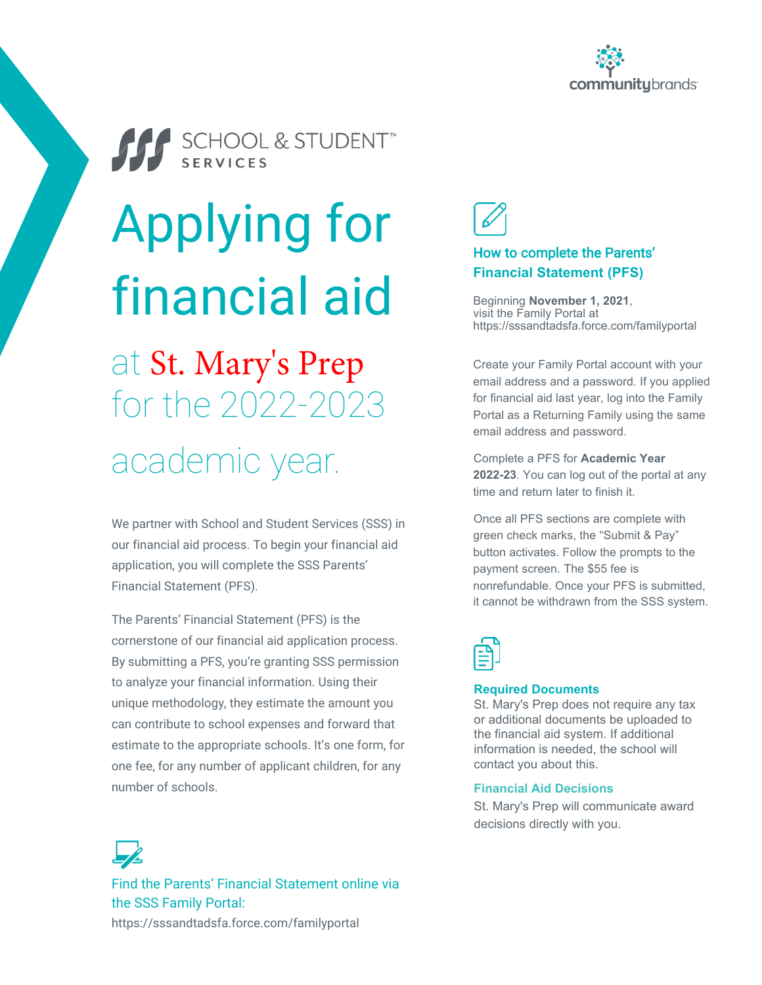



SCHOOL & STUDENT

# Applying for financial aid

# at St. Mary's Prep for the 2022-2023 academic year.

We partner with School and Student Services (SSS) in our financial aid process. To begin your financial aid application, you will complete the SSS Parents' Financial Statement (PFS).

The Parents' Financial Statement (PFS) is the cornerstone of our financial aid application process. By submitting a PFS, you're granting SSS permission to analyze your financial information. Using their unique methodology, they estimate the amount you can contribute to school expenses and forward that estimate to the appropriate schools. It's one form, for one fee, for any number of applicant children, for any number of schools.



#### How to complete the Parents' **Financial Statement (PFS)**

Beginning **November 1, 2021**, visit the Family Portal at https://sssandtadsfa.force.com/familyportal

Create your Family Portal account with your email address and a password. If you applied for financial aid last year, log into the Family Portal as a Returning Family using the same email address and password.

Complete a PFS for **Academic Year 2022-23**. You can log out of the portal at any time and return later to finish it.

Once all PFS sections are complete with green check marks, the "Submit & Pay" button activates. Follow the prompts to the payment screen. The \$55 fee is nonrefundable. Once your PFS is submitted, it cannot be withdrawn from the SSS system.



#### **Required Documents**

St. Mary's Prep does not require any tax or additional documents be uploaded to the financial aid system. If additional information is needed, the school will contact you about this.

#### **Financial Aid Decisions**

St. Mary's Prep will communicate award decisions directly with you.

Find the Parents' Financial Statement online via the SSS Family Portal: https://sssandtadsfa.force.com/familyportal